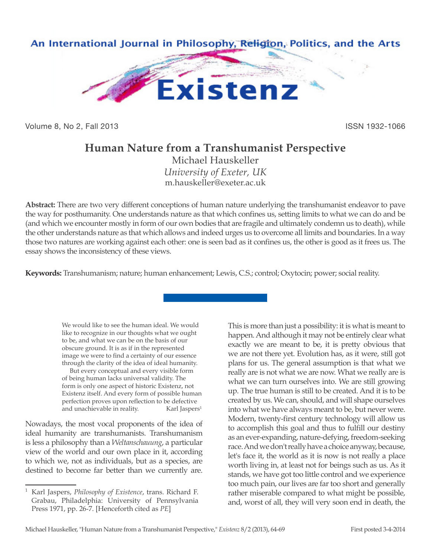

Volume 8, No 2, Fall 2013 **ISSN 1932-1066** 

## **Human Nature from a Transhumanist Perspective**

Michael Hauskeller *University of Exeter, UK* m.hauskeller@exeter.ac.uk

**Abstract:** There are two very different conceptions of human nature underlying the transhumanist endeavor to pave the way for posthumanity. One understands nature as that which confines us, setting limits to what we can do and be (and which we encounter mostly in form of our own bodies that are fragile and ultimately condemn us to death), while the other understands nature as that which allows and indeed urges us to overcome all limits and boundaries. In a way those two natures are working against each other: one is seen bad as it confines us, the other is good as it frees us. The essay shows the inconsistency of these views.

**Keywords:** Transhumanism; nature; human enhancement; Lewis, C.S.; control; Oxytocin; power; social reality.

We would like to see the human ideal. We would like to recognize in our thoughts what we ought to be, and what we can be on the basis of our obscure ground. It is as if in the represented image we were to find a certainty of our essence through the clarity of the idea of ideal humanity. But every conceptual and every visible form of being human lacks universal validity. The form is only one aspect of historic Existenz, not Existenz itself. And every form of possible human perfection proves upon reflection to be defective and unachievable in reality. Karl Jaspers<sup>1</sup>

Nowadays, the most vocal proponents of the idea of ideal humanity are transhumanists. Transhumanism is less a philosophy than a *Weltanschauung*, a particular view of the world and our own place in it, according to which we, not as individuals, but as a species, are destined to become far better than we currently are.

This is more than just a possibility: it is what is meant to happen. And although it may not be entirely clear what exactly we are meant to be, it is pretty obvious that we are not there yet. Evolution has, as it were, still got plans for us. The general assumption is that what we really are is not what we are now. What we really are is what we can turn ourselves into. We are still growing up. The true human is still to be created. And it is to be created by us. We can, should, and will shape ourselves into what we have always meant to be, but never were. Modern, twenty-first century technology will allow us to accomplish this goal and thus to fulfill our destiny as an ever-expanding, nature-defying, freedom-seeking race. And we don't really have a choice anyway, because, let's face it, the world as it is now is not really a place worth living in, at least not for beings such as us. As it stands, we have got too little control and we experience too much pain, our lives are far too short and generally rather miserable compared to what might be possible, and, worst of all, they will very soon end in death, the

<sup>1</sup> Karl Jaspers, *Philosophy of Existence*, trans. Richard F. Grabau, Philadelphia: University of Pennsylvania Press 1971, pp. 26-7. [Henceforth cited as *PE*]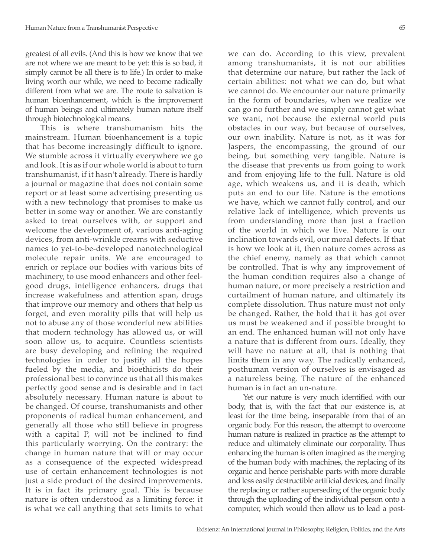greatest of all evils. (And this is how we know that we are not where we are meant to be yet: this is so bad, it simply cannot be all there is to life.) In order to make living worth our while, we need to become radically different from what we are. The route to salvation is human bioenhancement, which is the improvement of human beings and ultimately human nature itself through biotechnological means.

This is where transhumanism hits the mainstream. Human bioenhancement is a topic that has become increasingly difficult to ignore. We stumble across it virtually everywhere we go and look. It is as if our whole world is about to turn transhumanist, if it hasn't already. There is hardly a journal or magazine that does not contain some report or at least some advertising presenting us with a new technology that promises to make us better in some way or another. We are constantly asked to treat ourselves with, or support and welcome the development of, various anti-aging devices, from anti-wrinkle creams with seductive names to yet-to-be-developed nanotechnological molecule repair units. We are encouraged to enrich or replace our bodies with various bits of machinery, to use mood enhancers and other feelgood drugs, intelligence enhancers, drugs that increase wakefulness and attention span, drugs that improve our memory and others that help us forget, and even morality pills that will help us not to abuse any of those wonderful new abilities that modern technology has allowed us, or will soon allow us, to acquire. Countless scientists are busy developing and refining the required technologies in order to justify all the hopes fueled by the media, and bioethicists do their professional best to convince us that all this makes perfectly good sense and is desirable and in fact absolutely necessary. Human nature is about to be changed. Of course, transhumanists and other proponents of radical human enhancement, and generally all those who still believe in progress with a capital P, will not be inclined to find this particularly worrying. On the contrary: the change in human nature that will or may occur as a consequence of the expected widespread use of certain enhancement technologies is not just a side product of the desired improvements. It is in fact its primary goal. This is because nature is often understood as a limiting force: it is what we call anything that sets limits to what

we can do. According to this view, prevalent among transhumanists, it is not our abilities that determine our nature, but rather the lack of certain abilities: not what we can do, but what we cannot do. We encounter our nature primarily in the form of boundaries, when we realize we can go no further and we simply cannot get what we want, not because the external world puts obstacles in our way, but because of ourselves, our own inability. Nature is not, as it was for Jaspers, the encompassing, the ground of our being, but something very tangible. Nature is the disease that prevents us from going to work and from enjoying life to the full. Nature is old age, which weakens us, and it is death, which puts an end to our life. Nature is the emotions we have, which we cannot fully control, and our relative lack of intelligence, which prevents us from understanding more than just a fraction of the world in which we live. Nature is our inclination towards evil, our moral defects. If that is how we look at it, then nature comes across as the chief enemy, namely as that which cannot be controlled. That is why any improvement of the human condition requires also a change of human nature, or more precisely a restriction and curtailment of human nature, and ultimately its complete dissolution. Thus nature must not only be changed. Rather, the hold that it has got over us must be weakened and if possible brought to an end. The enhanced human will not only have a nature that is different from ours. Ideally, they will have no nature at all, that is nothing that limits them in any way. The radically enhanced, posthuman version of ourselves is envisaged as a natureless being. The nature of the enhanced human is in fact an un-nature.

Yet our nature is very much identified with our body, that is, with the fact that our existence is, at least for the time being, inseparable from that of an organic body. For this reason, the attempt to overcome human nature is realized in practice as the attempt to reduce and ultimately eliminate our corporality. Thus enhancing the human is often imagined as the merging of the human body with machines, the replacing of its organic and hence perishable parts with more durable and less easily destructible artificial devices, and finally the replacing or rather superseding of the organic body through the uploading of the individual person onto a computer, which would then allow us to lead a post-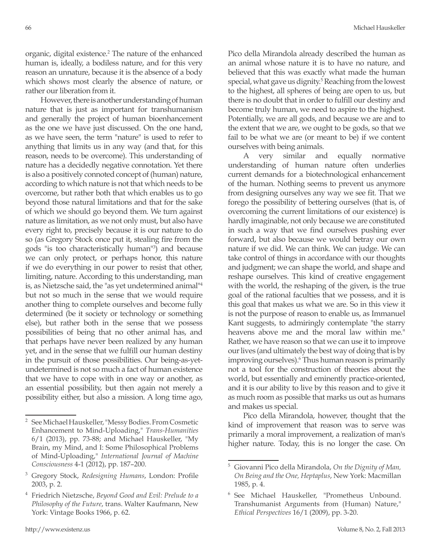organic, digital existence.<sup>2</sup> The nature of the enhanced human is, ideally, a bodiless nature, and for this very reason an unnature, because it is the absence of a body which shows most clearly the absence of nature, or rather our liberation from it.

However, there is another understanding of human nature that is just as important for transhumanism and generally the project of human bioenhancement as the one we have just discussed. On the one hand, as we have seen, the term "nature" is used to refer to anything that limits us in any way (and that, for this reason, needs to be overcome). This understanding of nature has a decidedly negative connotation. Yet there is also a positively connoted concept of (human) nature, according to which nature is not that which needs to be overcome, but rather both that which enables us to go beyond those natural limitations and that for the sake of which we should go beyond them. We turn against nature as limitation, as we not only must, but also have every right to, precisely because it is our nature to do so (as Gregory Stock once put it, stealing fire from the gods "is too characteristically human"<sup>3</sup> ) and because we can only protect, or perhaps honor, this nature if we do everything in our power to resist that other, limiting, nature. According to this understanding, man is, as Nietzsche said, the "as yet undetermined animal"<sup>4</sup> but not so much in the sense that we would require another thing to complete ourselves and become fully determined (be it society or technology or something else), but rather both in the sense that we possess possibilities of being that no other animal has, and that perhaps have never been realized by any human yet, and in the sense that we fulfill our human destiny in the pursuit of those possibilities. Our being-as-yetundetermined is not so much a fact of human existence that we have to cope with in one way or another, as an essential possibility, but then again not merely a possibility either, but also a mission. A long time ago,

Pico della Mirandola already described the human as an animal whose nature it is to have no nature, and believed that this was exactly what made the human special, what gave us dignity.<sup>5</sup> Reaching from the lowest to the highest, all spheres of being are open to us, but there is no doubt that in order to fulfill our destiny and become truly human, we need to aspire to the highest. Potentially, we are all gods, and because we are and to the extent that we are, we ought to be gods, so that we fail to be what we are (or meant to be) if we content ourselves with being animals.

A very similar and equally normative understanding of human nature often underlies current demands for a biotechnological enhancement of the human. Nothing seems to prevent us anymore from designing ourselves any way we see fit. That we forego the possibility of bettering ourselves (that is, of overcoming the current limitations of our existence) is hardly imaginable, not only because we are constituted in such a way that we find ourselves pushing ever forward, but also because we would betray our own nature if we did. We can think. We can judge. We can take control of things in accordance with our thoughts and judgment; we can shape the world, and shape and reshape ourselves. This kind of creative engagement with the world, the reshaping of the given, is the true goal of the rational faculties that we possess, and it is this goal that makes us what we are. So in this view it is not the purpose of reason to enable us, as Immanuel Kant suggests, to admiringly contemplate "the starry heavens above me and the moral law within me." Rather, we have reason so that we can use it to improve our lives (and ultimately the best way of doing that is by improving ourselves).6 Thus human reason is primarily not a tool for the construction of theories about the world, but essentially and eminently practice-oriented, and it is our ability to live by this reason and to give it as much room as possible that marks us out as humans and makes us special.

Pico della Mirandola, however, thought that the kind of improvement that reason was to serve was primarily a moral improvement, a realization of man's higher nature. Today, this is no longer the case. On

<sup>2</sup> See Michael Hauskeller, "Messy Bodies. From Cosmetic Enhancement to Mind-Uploading," *Trans-Humanities* 6/1 (2013), pp. 73-88; and Michael Hauskeller, "My Brain, my Mind, and I: Some Philosophical Problems of Mind-Uploading," *International Journal of Machine Consciousness* 4-1 (2012), pp. 187–200.

<sup>3</sup> Gregory Stock, *Redesigning Humans*, London: Profile 2003, p. 2.

<sup>4</sup> Friedrich Nietzsche, *Beyond Good and Evil: Prelude to a Philosophy of the Future*, trans. Walter Kaufmann, New York: Vintage Books 1966, p. 62.

<sup>5</sup> Giovanni Pico della Mirandola, *On the Dignity of Man, On Being and the One, Heptaplus*, New York: Macmillan 1985, p. 4.

<sup>6</sup> See Michael Hauskeller, "Prometheus Unbound. Transhumanist Arguments from (Human) Nature," *Ethical Perspectives* 16/1 (2009), pp. 3-20.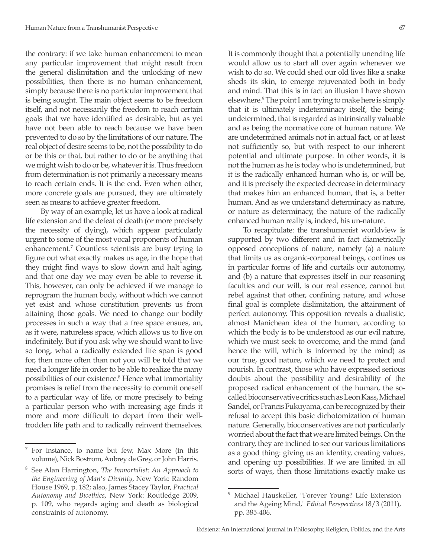the contrary: if we take human enhancement to mean any particular improvement that might result from the general dislimitation and the unlocking of new possibilities, then there is no human enhancement, simply because there is no particular improvement that is being sought. The main object seems to be freedom itself, and not necessarily the freedom to reach certain goals that we have identified as desirable, but as yet have not been able to reach because we have been prevented to do so by the limitations of our nature. The real object of desire seems to be, not the possibility to do or be this or that, but rather to do or be anything that we might wish to do or be, whatever it is. Thus freedom from determination is not primarily a necessary means to reach certain ends. It is the end. Even when other, more concrete goals are pursued, they are ultimately seen as means to achieve greater freedom.

By way of an example, let us have a look at radical life extension and the defeat of death (or more precisely the necessity of dying), which appear particularly urgent to some of the most vocal proponents of human enhancement.<sup>7</sup> Countless scientists are busy trying to figure out what exactly makes us age, in the hope that they might find ways to slow down and halt aging, and that one day we may even be able to reverse it. This, however, can only be achieved if we manage to reprogram the human body, without which we cannot yet exist and whose constitution prevents us from attaining those goals. We need to change our bodily processes in such a way that a free space ensues, an, as it were, natureless space, which allows us to live on indefinitely. But if you ask why we should want to live so long, what a radically extended life span is good for, then more often than not you will be told that we need a longer life in order to be able to realize the many possibilities of our existence.<sup>8</sup> Hence what immortality promises is relief from the necessity to commit oneself to a particular way of life, or more precisely to being a particular person who with increasing age finds it more and more difficult to depart from their welltrodden life path and to radically reinvent themselves.

It is commonly thought that a potentially unending life would allow us to start all over again whenever we wish to do so. We could shed our old lives like a snake sheds its skin, to emerge rejuvenated both in body and mind. That this is in fact an illusion I have shown elsewhere.<sup>9</sup> The point I am trying to make here is simply that it is ultimately indeterminacy itself, the beingundetermined, that is regarded as intrinsically valuable and as being the normative core of human nature. We are undetermined animals not in actual fact, or at least not sufficiently so, but with respect to our inherent potential and ultimate purpose. In other words, it is not the human as he is today who is undetermined, but it is the radically enhanced human who is, or will be, and it is precisely the expected decrease in determinacy that makes him an enhanced human, that is, a better human. And as we understand determinacy as nature, or nature as determinacy, the nature of the radically enhanced human really is, indeed, his un-nature.

To recapitulate: the transhumanist worldview is supported by two different and in fact diametrically opposed conceptions of nature, namely (a) a nature that limits us as organic-corporeal beings, confines us in particular forms of life and curtails our autonomy, and (b) a nature that expresses itself in our reasoning faculties and our will, is our real essence, cannot but rebel against that other, confining nature, and whose final goal is complete dislimitation, the attainment of perfect autonomy. This opposition reveals a dualistic, almost Manichean idea of the human, according to which the body is to be understood as our evil nature, which we must seek to overcome, and the mind (and hence the will, which is informed by the mind) as our true, good nature, which we need to protect and nourish. In contrast, those who have expressed serious doubts about the possibility and desirability of the proposed radical enhancement of the human, the socalled bioconservative critics such as Leon Kass, Michael Sandel, or Francis Fukuyama, can be recognized by their refusal to accept this basic dichotomization of human nature. Generally, bioconservatives are not particularly worried about the fact that we are limited beings. On the contrary, they are inclined to see our various limitations as a good thing: giving us an identity, creating values, and opening up possibilities. If we are limited in all sorts of ways, then those limitations exactly make us

 $<sup>7</sup>$  For instance, to name but few, Max More (in this</sup> volume), Nick Bostrom, Aubrey de Grey, or John Harris.

<sup>8</sup> See Alan Harrington, *The Immortalist: An Approach to the Engineering of Man's Divinity*, New York: Random House 1969, p. 182; also, James Stacey Taylor, *Practical Autonomy and Bioethics*, New York: Routledge 2009, p. 109, who regards aging and death as biological constraints of autonomy.

<sup>9</sup> Michael Hauskeller, "Forever Young? Life Extension and the Ageing Mind," *Ethical Perspectives* 18/3 (2011), pp. 385-406.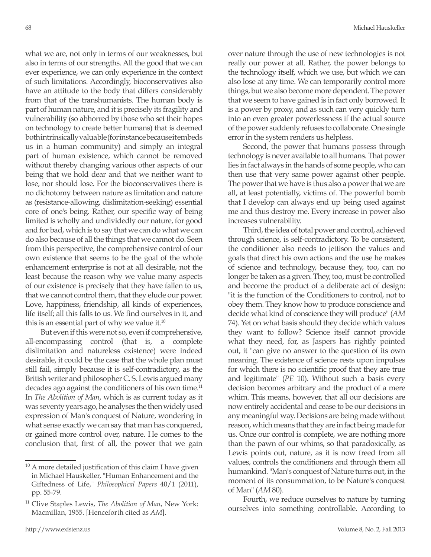what we are, not only in terms of our weaknesses, but also in terms of our strengths. All the good that we can ever experience, we can only experience in the context of such limitations. Accordingly, bioconservatives also have an attitude to the body that differs considerably from that of the transhumanists. The human body is part of human nature, and it is precisely its fragility and vulnerability (so abhorred by those who set their hopes on technology to create better humans) that is deemed both intrinsically valuable (for instance because it embeds us in a human community) and simply an integral part of human existence, which cannot be removed without thereby changing various other aspects of our being that we hold dear and that we neither want to lose, nor should lose. For the bioconservatives there is no dichotomy between nature as limitation and nature as (resistance-allowing, dislimitation-seeking) essential core of one's being. Rather, our specific way of being limited is wholly and undividedly our nature, for good and for bad, which is to say that we can do what we can do also because of all the things that we cannot do. Seen from this perspective, the comprehensive control of our own existence that seems to be the goal of the whole enhancement enterprise is not at all desirable, not the least because the reason why we value many aspects of our existence is precisely that they have fallen to us, that we cannot control them, that they elude our power. Love, happiness, friendship, all kinds of experiences, life itself; all this falls to us. We find ourselves in it, and this is an essential part of why we value it. $10$ 

But even if this were not so, even if comprehensive, all-encompassing control (that is, a complete dislimitation and natureless existence) were indeed desirable, it could be the case that the whole plan must still fail, simply because it is self-contradictory, as the British writer and philosopher C. S. Lewis argued many decades ago against the conditioners of his own time.<sup>11</sup> In *The Abolition of Man*, which is as current today as it was seventy years ago, he analyses the then widely used expression of Man's conquest of Nature, wondering in what sense exactly we can say that man has conquered, or gained more control over, nature. He comes to the conclusion that, first of all, the power that we gain over nature through the use of new technologies is not really our power at all. Rather, the power belongs to the technology itself, which we use, but which we can also lose at any time. We can temporarily control more things, but we also become more dependent. The power that we seem to have gained is in fact only borrowed. It is a power by proxy, and as such can very quickly turn into an even greater powerlessness if the actual source of the power suddenly refuses to collaborate. One single error in the system renders us helpless.

Second, the power that humans possess through technology is never available to all humans. That power lies in fact always in the hands of some people, who can then use that very same power against other people. The power that we have is thus also a power that we are all, at least potentially, victims of. The powerful bomb that I develop can always end up being used against me and thus destroy me. Every increase in power also increases vulnerability.

Third, the idea of total power and control, achieved through science, is self-contradictory. To be consistent, the conditioner also needs to jettison the values and goals that direct his own actions and the use he makes of science and technology, because they, too, can no longer be taken as a given. They, too, must be controlled and become the product of a deliberate act of design: "it is the function of the Conditioners to control, not to obey them. They know how to produce conscience and decide what kind of conscience they will produce" (*AM* 74). Yet on what basis should they decide which values they want to follow? Science itself cannot provide what they need, for, as Jaspers has rightly pointed out, it "can give no answer to the question of its own meaning. The existence of science rests upon impulses for which there is no scientific proof that they are true and legitimate" (*PE* 10). Without such a basis every decision becomes arbitrary and the product of a mere whim. This means, however, that all our decisions are now entirely accidental and cease to be our decisions in any meaningful way. Decisions are being made without reason, which means that they are in fact being made for us. Once our control is complete, we are nothing more than the pawn of our whims, so that paradoxically, as Lewis points out, nature, as it is now freed from all values, controls the conditioners and through them all humankind. "Man's conquest of Nature turns out, in the moment of its consummation, to be Nature's conquest of Man" (*AM* 80).

Fourth, we reduce ourselves to nature by turning ourselves into something controllable. According to

 $10$  A more detailed justification of this claim I have given in Michael Hauskeller, "Human Enhancement and the Giftedness of Life," *Philosophical Papers* 40/1 (2011), pp. 55-79.

<sup>11</sup> Clive Staples Lewis, *The Abolition of Man*, New York: Macmillan, 1955. [Henceforth cited as *AM*].